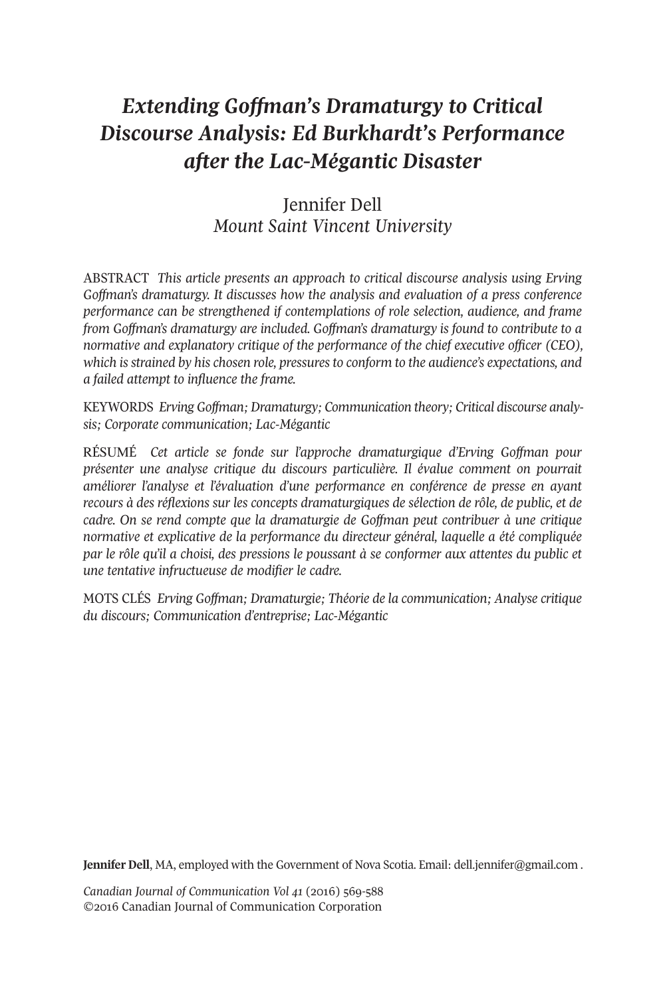# *Extending Goffman's Dramaturgy to Critical Discourse Analysis: Ed Burkhardt's Performance after the Lac-Mégantic Disaster*

## Jennifer Dell *Mount Saint Vincent University*

ABSTRACT *This article presents an approach to critical discourse analysis using Erving Goffman's dramaturgy. It discusses how the analysis and evaluation of a press conference performance can be strengthened if contemplations of role selection, audience, and frame from Goffman's dramaturgy are included. Goffman's dramaturgy is found to contribute to a normative and explanatory critique of the performance of the chief executive officer (CEO), which isstrained by his chosen role, pressuresto conform to the audience's expectations, and a failed attempt to influence the frame.*

KEYWORDS *Erving Goffman; Dramaturgy; Communication theory; Critical discourse analysis; Corporate communication; Lac-Mégantic*

RÉSUMÉ *Cet article se fonde sur l'approche dramaturgique d'Erving Goffman pour présenter une analyse critique du discours particulière. Il évalue comment on pourrait améliorer l'analyse et l'évaluation d'une performance en conférence de presse en ayant recours à des réflexions sur les concepts dramaturgiques de sélection de rôle, de public, et de cadre. On se rend compte que la dramaturgie de Goffman peut contribuer à une critique normative et explicative de la performance du directeur général, laquelle a été compliquée par le rôle qu'il a choisi, des pressions le poussant à se conformer aux attentes du public et une tentative infructueuse de modifier le cadre.*

MOTS CLÉS *Erving Goffman; Dramaturgie; Théorie de la communication; Analyse critique du discours; Communication d'entreprise; Lac-Mégantic*

**Jennifer Dell**, MA, employed with the Government of Nova Scotia. Email: [dell.jennifer@gmail.com](mailto:dell.jennifer@gmail.com) .

*Canadian Journal of [Communication](http://www.cjc-online.ca) Vol 41* (2016) 569-588 ©2016 Canadian Journal of Communication Corporation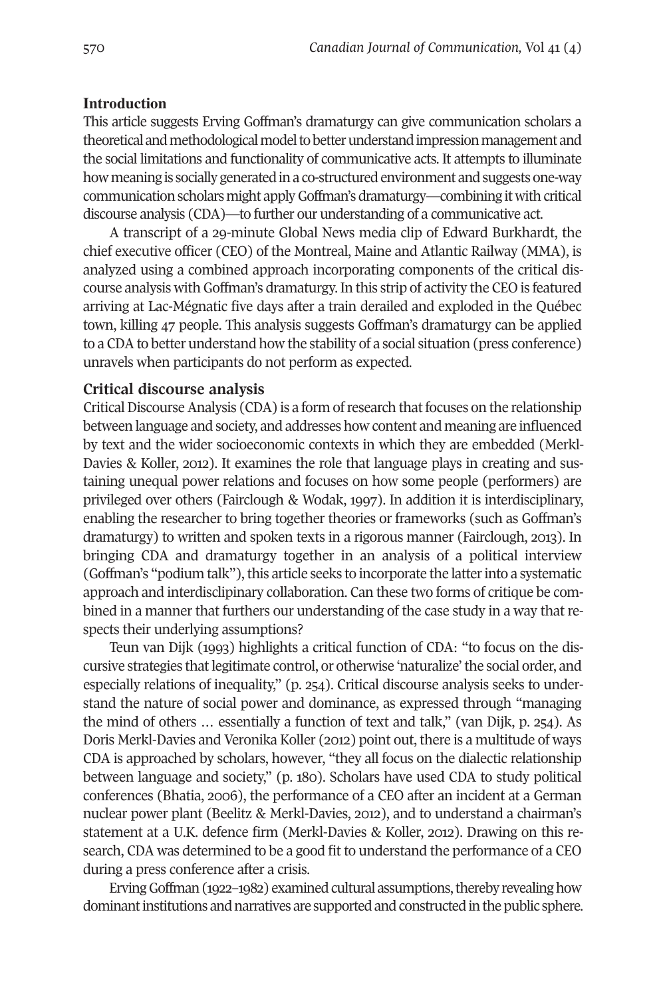#### **Introduction**

This article suggests Erving Goffman's dramaturgy can give communication scholars a theoretical and methodological model to better understand impression management and the social limitations and functionality of communicative acts. It attempts to illuminate how meaning is socially generated in a co-structured environment and suggests one-way communication scholars might apply Goffman's dramaturgy—combining it with critical discourse analysis (CDA)—to further our understanding of a communicative act.

A transcript of a 29-minute Global News media clip of Edward Burkhardt, the chief executive officer (CEO) of the Montreal, Maine and Atlantic Railway (MMA), is analyzed using a combined approach incorporating components of the critical discourse analysis with Goffman's dramaturgy. In this strip of activity the CEO is featured arriving at Lac-Mégnatic five days after a train derailed and exploded in the Québec town, killing 47 people. This analysis suggests Goffman's dramaturgy can be applied to a CDA to better understand how the stability of a social situation (press conference) unravels when participants do not perform as expected.

#### **Critical discourse analysis**

Critical Discourse Analysis (CDA) is a form of research that focuses on the relationship between language and society, and addresses how content and meaning are influenced by text and the wider socioeconomic contexts in which they are embedded (Merkl-Davies & Koller, 2012). It examines the role that language plays in creating and sustaining unequal power relations and focuses on how some people (performers) are privileged over others (Fairclough & Wodak, 1997). In addition it is interdisciplinary, enabling the researcher to bring together theories or frameworks (such as Goffman's dramaturgy) to written and spoken texts in a rigorous manner (Fairclough, 2013). In bringing CDA and dramaturgy together in an analysis of a political interview (Goffman's "podium talk"), this article seeks to incorporate the latter into a systematic approach and interdisclipinary collaboration. Can these two forms of critique be combined in a manner that furthers our understanding of the case study in a way that respects their underlying assumptions?

Teun van Dijk (1993) highlights a critical function of CDA: "to focus on the discursive strategies thatlegitimate control, or otherwise 'naturalize'the social order, and especially relations of inequality," (p. 254). Critical discourse analysis seeks to understand the nature of social power and dominance, as expressed through "managing the mind of others … essentially a function of text and talk," (van Dijk, p. 254). As Doris Merkl-Davies and Veronika Koller (2012) point out, there is a multitude of ways CDA is approached by scholars, however, "they all focus on the dialectic relationship between language and society," (p. 180). Scholars have used CDA to study political conferences (Bhatia, 2006), the performance of a CEO after an incident at a German nuclear power plant (Beelitz & Merkl-Davies, 2012), and to understand a chairman's statement at a U.K. defence firm (Merkl-Davies & Koller, 2012). Drawing on this research, CDA was determined to be a good fit to understand the performance of a CEO during a press conference after a crisis.

Erving Goffman (1922-1982) examined cultural assumptions, thereby revealing how dominant institutions and narratives are supported and constructed in the public sphere.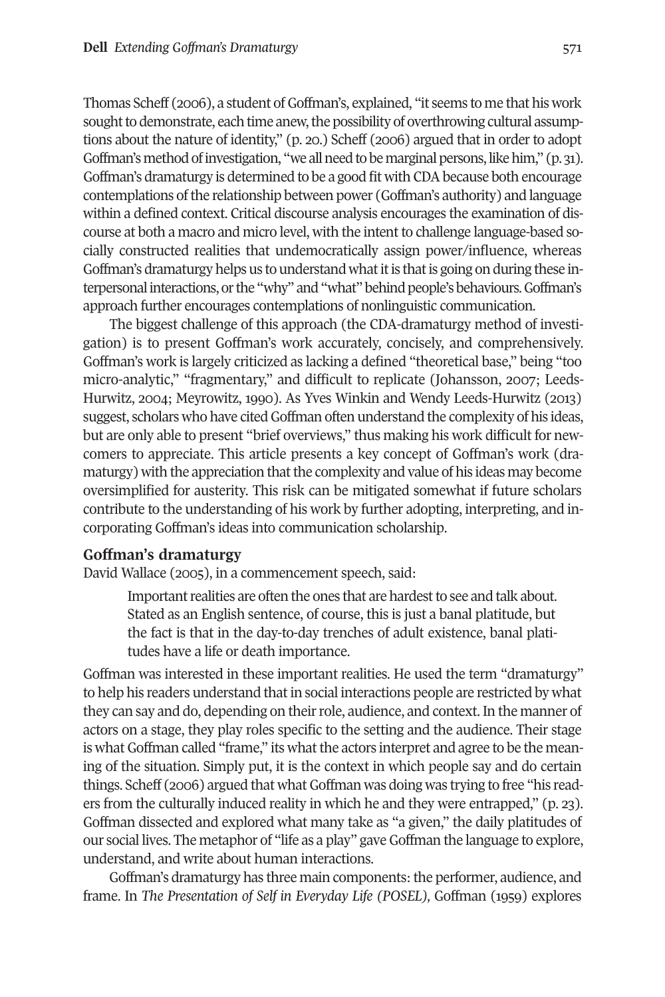Thomas Scheff (2006), a student of Goffman's, explained, "it seems to me that his work sought to demonstrate, each time anew, the possibility of overthrowing cultural assumptions about the nature of identity," (p. 20.) Scheff (2006) argued that in order to adopt Goffman's method of investigation, "we all need to be marginal persons, like him," (p. 31). Goffman's dramaturgy is determined to be a good fit with CDA because both encourage contemplations ofthe relationship between power (Goffman's authority) and language within a defined context. Critical discourse analysis encourages the examination of discourse at both a macro and micro level, with the intent to challenge language-based socially constructed realities that undemocratically assign power/influence, whereas Goffman's dramaturgy helps us to understand what it is that is going on during these interpersonal interactions, or the "why" and "what" behind people's behaviours. Goffman's approach further encourages contemplations of nonlinguistic communication.

The biggest challenge of this approach (the CDA-dramaturgy method of investigation) is to present Goffman's work accurately, concisely, and comprehensively. Goffman's work is largely criticized as lacking a defined "theoretical base," being "too micro-analytic," "fragmentary," and difficult to replicate (Johansson, 2007; Leeds-Hurwitz, 2004; Meyrowitz, 1990). As Yves Winkin and Wendy Leeds-Hurwitz (2013) suggest, scholars who have cited Goffman often understand the complexity of his ideas, but are only able to present "brief overviews," thus making his work difficult for newcomers to appreciate. This article presents a key concept of Goffman's work (dramaturgy) with the appreciation that the complexity and value of his ideas may become oversimplified for austerity. This risk can be mitigated somewhat if future scholars contribute to the understanding of his work by further adopting, interpreting, and incorporating Goffman's ideas into communication scholarship.

#### **Goffman's dramaturgy**

David Wallace (2005), in a commencement speech, said:

Important realities are often the ones that are hardest to see and talk about. Stated as an English sentence, of course, this is just a banal platitude, but the fact is that in the day-to-day trenches of adult existence, banal platitudes have a life or death importance.

Goffman was interested in these important realities. He used the term "dramaturgy" to help his readers understand that in social interactions people are restricted by what they can say and do, depending on theirrole, audience, and context. In the manner of actors on a stage, they play roles specific to the setting and the audience. Their stage is what Goffman called "frame," its what the actors interpret and agree to be the meaning of the situation. Simply put, it is the context in which people say and do certain things. Scheff (2006) argued that whatGoffman was doing was trying to free "his readers from the culturally induced reality in which he and they were entrapped," (p. 23). Goffman dissected and explored what many take as "a given," the daily platitudes of our social lives. The metaphor of "life as a play" gave Goffman the language to explore, understand, and write about human interactions.

Goffman's dramaturgy has three main components: the performer, audience, and frame. In *The Presentation of Self in Everyday Life (POSEL),* Goffman (1959) explores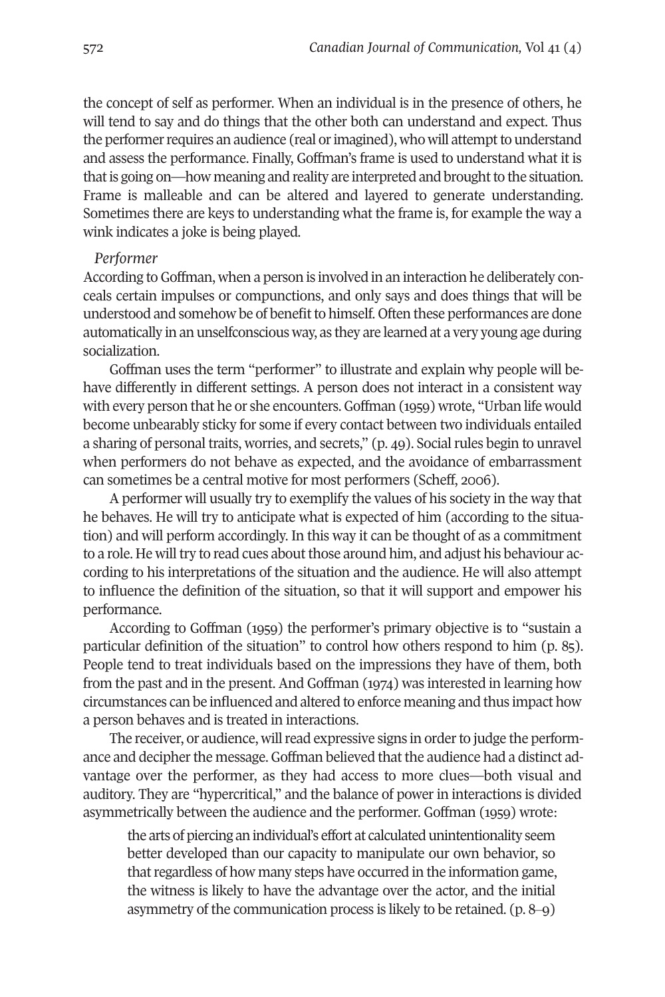the concept of self as performer. When an individual is in the presence of others, he will tend to say and do things that the other both can understand and expect. Thus the performer requires an audience (real or imagined), who will attempt to understand and assess the performance. Finally, Goffman's frame is used to understand what it is that is going on—how meaning and reality are interpreted and brought to the situation. Frame is malleable and can be altered and layered to generate understanding. Sometimes there are keys to understanding what the frame is, for example the way a wink indicates a joke is being played.

#### *Performer*

According to Goffman, when a person is involved in an interaction he deliberately conceals certain impulses or compunctions, and only says and does things that will be understood and somehow be of benefitto himself. Often these performances are done automatically in an unselfconscious way, as they are learned at a very young age during socialization.

Goffman uses the term "performer" to illustrate and explain why people will behave differently in different settings. A person does not interact in a consistent way with every person that he or she encounters.Goffman (1959) wrote, "Urban life would become unbearably sticky for some if every contact between two individuals entailed a sharing of personal traits, worries, and secrets," (p. 49). Socialrules begin to unravel when performers do not behave as expected, and the avoidance of embarrassment can sometimes be a central motive for most performers (Scheff, 2006).

A performer will usually try to exemplify the values of his society in the way that he behaves. He will try to anticipate what is expected of him (according to the situation) and will perform accordingly. In this way it can be thought of as a commitment to a role. He will try to read cues about those around him, and adjust his behaviour according to his interpretations of the situation and the audience. He will also attempt to influence the definition of the situation, so that it will support and empower his performance.

According to Goffman (1959) the performer's primary objective is to "sustain a particular definition of the situation" to control how others respond to him (p. 85). People tend to treat individuals based on the impressions they have of them, both from the past and in the present. And Goffman (1974) was interested in learning how circumstances can be influenced and altered to enforce meaning and thus impact how a person behaves and is treated in interactions.

The receiver, or audience, will read expressive signs in order to judge the performance and decipher the message. Goffman believed that the audience had a distinct advantage over the performer, as they had access to more clues—both visual and auditory. They are "hypercritical," and the balance of power in interactions is divided asymmetrically between the audience and the performer. Goffman (1959) wrote:

the arts of piercing anindividual's effort at calculated unintentionality seem better developed than our capacity to manipulate our own behavior, so that regardless of how many steps have occurred in the information game, the witness is likely to have the advantage over the actor, and the initial asymmetry of the communication process is likely to be retained. (p. 8–9)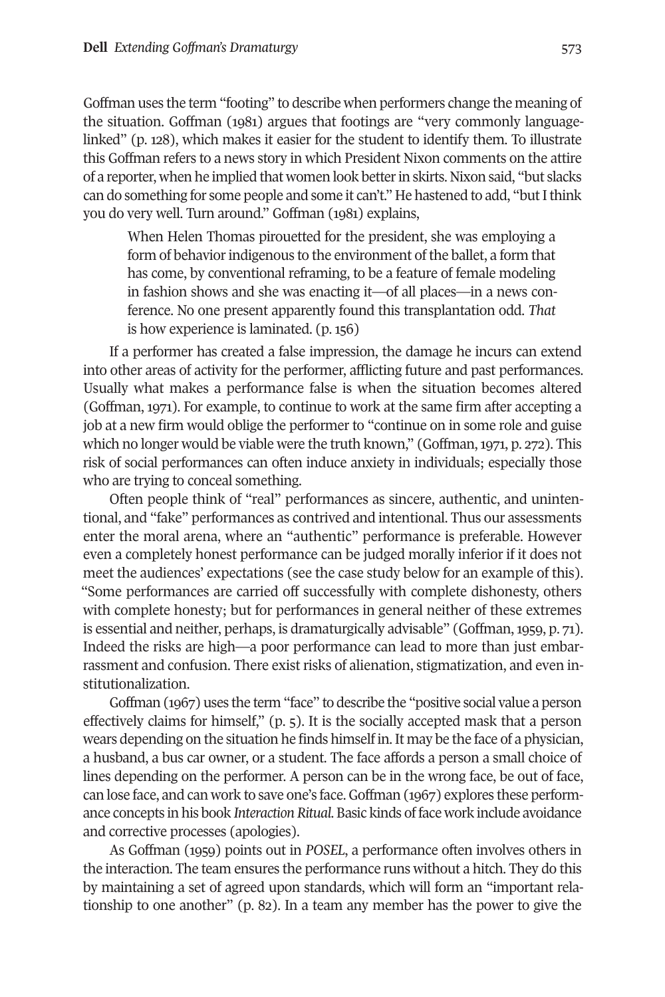Goffman uses the term "footing" to describe when performers change the meaning of the situation. Goffman (1981) argues that footings are "very commonly languagelinked" (p. 128), which makes it easier for the student to identify them. To illustrate this Goffman refers to a news story in which President Nixon comments on the attire of a reporter, when he implied that women look betterin skirts. Nixon said, "but slacks can do something for some people and some it can't." He hastened to add, "but I think you do very well. Turn around." Goffman (1981) explains,

When Helen Thomas pirouetted for the president, she was employing a form of behavior indigenous to the environment of the ballet, a form that has come, by conventional reframing, to be a feature of female modeling in fashion shows and she was enacting it—of all places—in a news conference. No one present apparently found this transplantation odd. *That* is how experience is laminated. (p. 156)

If a performer has created a false impression, the damage he incurs can extend into other areas of activity for the performer, afflicting future and past performances. Usually what makes a performance false is when the situation becomes altered (Goffman, 1971). For example, to continue to work at the same firm after accepting a job at a new firm would oblige the performer to "continue on in some role and guise which no longer would be viable were the truth known," (Goffman, 1971, p. 272). This risk of social performances can often induce anxiety in individuals; especially those who are trying to conceal something.

Often people think of "real" performances as sincere, authentic, and unintentional, and "fake" performances as contrived and intentional. Thus our assessments enter the moral arena, where an "authentic" performance is preferable. However even a completely honest performance can be judged morally inferior if it does not meet the audiences' expectations (see the case study below for an example of this). "Some performances are carried off successfully with complete dishonesty, others with complete honesty; but for performances in general neither of these extremes is essential and neither, perhaps, is dramaturgically advisable" (Goffman,1959, p. 71). Indeed the risks are high—a poor performance can lead to more than just embarrassment and confusion. There exist risks of alienation, stigmatization, and even institutionalization.

Goffman (1967) uses the term "face" to describe the "positive social value a person effectively claims for himself," (p. 5). It is the socially accepted mask that a person wears depending on the situation he finds himself in.It may be the face of a physician, a husband, a bus car owner, or a student. The face affords a person a small choice of lines depending on the performer. A person can be in the wrong face, be out of face, can lose face, and can work to save one's face.Goffman (1967) explores these performance concepts in his book *Interaction Ritual*. Basic kinds of face work include avoidance and corrective processes (apologies).

As Goffman (1959) points out in *POSEL*, a performance often involves others in the interaction. The team ensures the performance runs without a hitch. They do this by maintaining a set of agreed upon standards, which will form an "important relationship to one another" (p. 82). In a team any member has the power to give the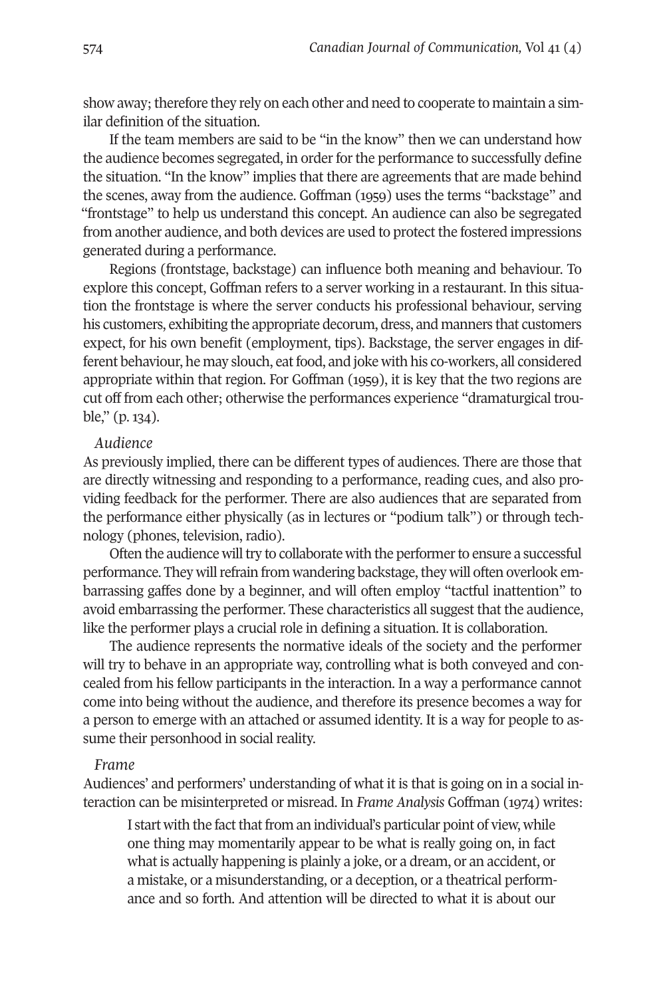show away; therefore they rely on each other and need to cooperate to maintain a similar definition of the situation.

If the team members are said to be "in the know" then we can understand how the audience becomes segregated, in order for the performance to successfully define the situation. "In the know" implies that there are agreements that are made behind the scenes, away from the audience. Goffman (1959) uses the terms "backstage" and "frontstage" to help us understand this concept. An audience can also be segregated from another audience, and both devices are used to protect the fostered impressions generated during a performance.

Regions (frontstage, backstage) can influence both meaning and behaviour. To explore this concept, Goffman refers to a server working in a restaurant. In this situation the frontstage is where the server conducts his professional behaviour, serving his customers, exhibiting the appropriate decorum, dress, and manners that customers expect, for his own benefit (employment, tips). Backstage, the server engages in different behaviour, he may slouch, eatfood, and joke with his co-workers, all considered appropriate within that region. For Goffman (1959), it is key that the two regions are cut off from each other; otherwise the performances experience "dramaturgical trouble," (p. 134).

#### *Audience*

As previously implied, there can be different types of audiences. There are those that are directly witnessing and responding to a performance, reading cues, and also providing feedback for the performer. There are also audiences that are separated from the performance either physically (as in lectures or "podium talk") or through technology (phones, television, radio).

Often the audience will try to collaborate with the performer to ensure a successful performance. They will refrain from wandering backstage, they will often overlook embarrassing gaffes done by a beginner, and will often employ "tactful inattention" to avoid embarrassing the performer. These characteristics all suggest that the audience, like the performer plays a crucial role in defining a situation. It is collaboration.

The audience represents the normative ideals of the society and the performer will try to behave in an appropriate way, controlling what is both conveyed and concealed from his fellow participants in the interaction. In a way a performance cannot come into being without the audience, and therefore its presence becomes a way for a person to emerge with an attached or assumed identity. It is a way for people to assume their personhood in social reality.

#### *Frame*

Audiences' and performers' understanding of what it is that is going on in a social interaction can be misinterpreted or misread. In *Frame Analysis* Goffman (1974) writes:

I start with the fact that from an individual's particular point of view, while one thing may momentarily appear to be what is really going on, in fact what is actually happening is plainly a joke, or a dream, or an accident, or a mistake, or a misunderstanding, or a deception, or a theatrical performance and so forth. And attention will be directed to what it is about our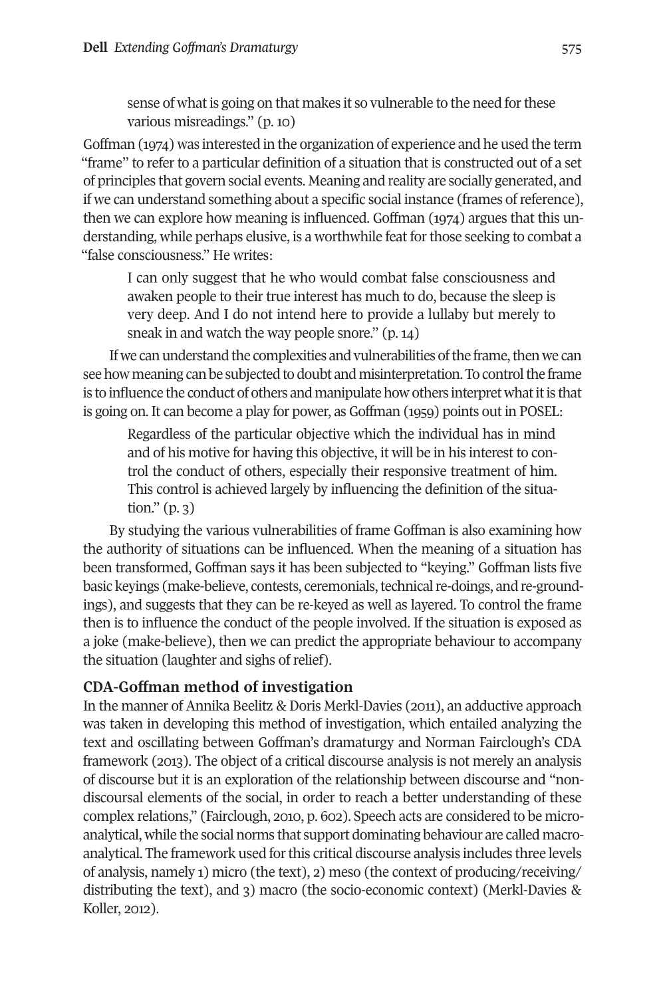sense of what is going on that makes it so vulnerable to the need for these various misreadings." (p. 10)

Goffman (1974) was interested in the organization of experience and he used the term "frame" to refer to a particular definition of a situation that is constructed out of a set of principles that govern social events. Meaning and reality are socially generated, and if we can understand something about a specific social instance (frames of reference), then we can explore how meaning is influenced. Goffman (1974) argues that this understanding, while perhaps elusive, is a worthwhile feat for those seeking to combat a "false consciousness." He writes:

I can only suggest that he who would combat false consciousness and awaken people to their true interest has much to do, because the sleep is very deep. And I do not intend here to provide a lullaby but merely to sneak in and watch the way people snore." (p. 14)

If we can understand the complexities and vulnerabilities of the frame, then we can see how meaning can be subjected to doubt and misinterpretation. To control the frame is to influence the conduct of others and manipulate how others interpret what it is that is going on. It can become a play for power, as Goffman (1959) points out in POSEL:

Regardless of the particular objective which the individual has in mind and of his motive for having this objective, it will be in his interest to control the conduct of others, especially their responsive treatment of him. This control is achieved largely by influencing the definition of the situation." (p. 3)

By studying the various vulnerabilities of frame Goffman is also examining how the authority of situations can be influenced. When the meaning of a situation has been transformed, Goffman says it has been subjected to "keying." Goffman lists five basic keyings (make-believe, contests, ceremonials, technical re-doings, and re-groundings), and suggests that they can be re-keyed as well as layered. To control the frame then is to influence the conduct of the people involved. If the situation is exposed as a joke (make-believe), then we can predict the appropriate behaviour to accompany the situation (laughter and sighs of relief).

## **CDA-Goffman method of investigation**

In the manner of Annika Beelitz & Doris Merkl-Davies (2011), an adductive approach was taken in developing this method of investigation, which entailed analyzing the text and oscillating between Goffman's dramaturgy and Norman Fairclough's CDA framework (2013). The object of a critical discourse analysis is not merely an analysis of discourse but it is an exploration of the relationship between discourse and "nondiscoursal elements of the social, in order to reach a better understanding of these complex relations," (Fairclough, 2010, p. 602). Speech acts are considered to be microanalytical, while the social norms that support dominating behaviour are called macroanalytical. The framework used forthis critical discourse analysis includes three levels of analysis, namely 1) micro (the text), 2) meso (the context of producing/receiving/ distributing the text), and 3) macro (the socio-economic context) (Merkl-Davies & Koller, 2012).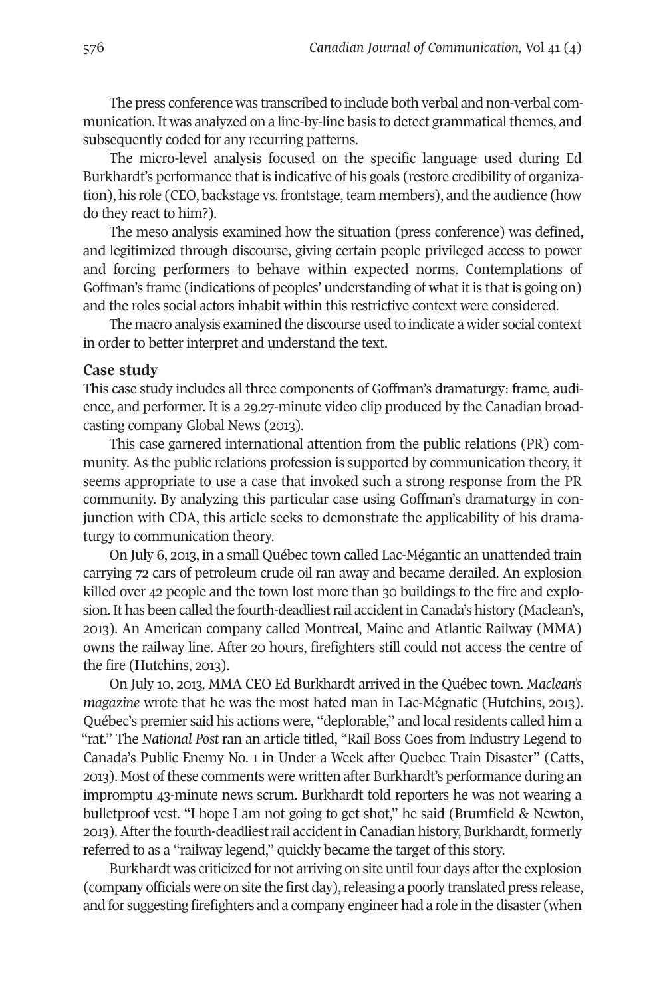The press conference was transcribed to include both verbal and non-verbal communication. It was analyzed on a line-by-line basis to detect grammatical themes, and subsequently coded for any recurring patterns.

The micro-level analysis focused on the specific language used during Ed Burkhardt's performance that is indicative of his goals (restore credibility of organization), his role (CEO, backstage vs. frontstage, team members), and the audience (how do they react to him?).

The meso analysis examined how the situation (press conference) was defined, and legitimized through discourse, giving certain people privileged access to power and forcing performers to behave within expected norms. Contemplations of Goffman's frame (indications of peoples' understanding of what it is that is going on) and the roles social actors inhabit within this restrictive context were considered.

The macro analysis examined the discourse used to indicate a wider social context in order to better interpret and understand the text.

#### **Case study**

This case study includes all three components of Goffman's dramaturgy: frame, audience, and performer. It is a 29.27-minute video clip produced by the Canadian broadcasting company Global News (2013).

This case garnered international attention from the public relations (PR) community. As the public relations profession is supported by communication theory, it seems appropriate to use a case that invoked such a strong response from the PR community. By analyzing this particular case using Goffman's dramaturgy in conjunction with CDA, this article seeks to demonstrate the applicability of his dramaturgy to communication theory.

On July 6, 2013, in a small Québec town called Lac-Mégantic an unattended train carrying 72 cars of petroleum crude oil ran away and became derailed. An explosion killed over 42 people and the town lost more than 30 buildings to the fire and explosion. It has been called the fourth-deadliest rail accident in Canada's history (Maclean's, 2013). An American company called Montreal, Maine and Atlantic Railway (MMA) owns the railway line. After 20 hours, firefighters still could not access the centre of the fire (Hutchins, 2013).

On July 10, 2013*,* MMA CEO Ed Burkhardt arrived in the Québec town*. Maclean's magazine* wrote that he was the most hated man in Lac-Mégnatic (Hutchins, 2013). Québec's premier said his actions were, "deplorable," and local residents called him a "rat." The *National Post* ran an article titled, "Rail Boss Goes from Industry Legend to Canada's Public Enemy No. 1 in Under a Week after Quebec Train Disaster" (Catts, 2013). Most ofthese comments were written after Burkhardt's performance during an impromptu 43-minute news scrum. Burkhardt told reporters he was not wearing a bulletproof vest. "I hope I am not going to get shot," he said (Brumfield & Newton, 2013).Afterthe fourth-deadliestrail accidentin Canadian history, Burkhardt, formerly referred to as a "railway legend," quickly became the target of this story.

Burkhardt was criticized for not arriving on site until four days afterthe explosion (company officials were on site the first day), releasing a poorly translated press release, and for suggesting firefighters and a company engineer had a role in the disaster (when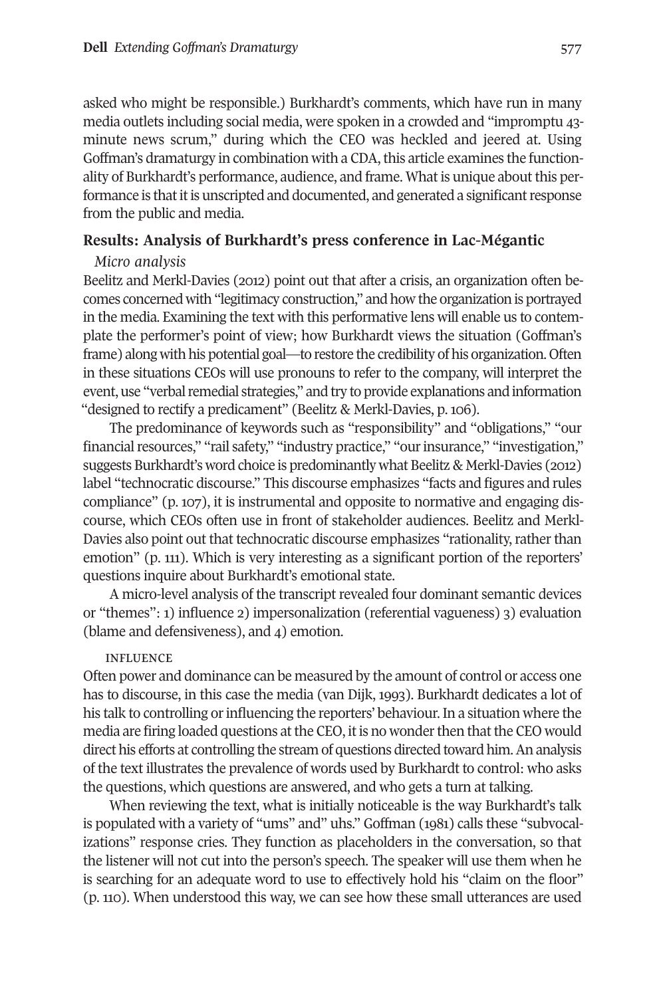asked who might be responsible.) Burkhardt's comments, which have run in many media outlets including social media, were spoken in a crowded and "impromptu 43 minute news scrum," during which the CEO was heckled and jeered at. Using Goffman's dramaturgy in combination with a CDA, this article examines the functionality of Burkhardt's performance, audience, and frame. What is unique about this performance is that it is unscripted and documented, and generated a significant response from the public and media.

## **Results: Analysis of Burkhardt's press conference in Lac-Mégantic**

#### *Micro analysis*

Beelitz and Merkl-Davies (2012) point out that after a crisis, an organization often becomes concerned with "legitimacy construction," and how the organization is portrayed in the media. Examining the text with this performative lens will enable us to contemplate the performer's point of view; how Burkhardt views the situation (Goffman's frame) along with his potential goal—to restore the credibility of his organization. Often in these situations CEOs will use pronouns to refer to the company, will interpret the event, use "verbal remedial strategies," and try to provide explanations and information "designed to rectify a predicament" (Beelitz & Merkl-Davies, p. 106).

The predominance of keywords such as "responsibility" and "obligations," "our financial resources," "rail safety," "industry practice," "our insurance," "investigation," suggests Burkhardt's word choice is predominantly what Beelitz & Merkl-Davies (2012) label "technocratic discourse." This discourse emphasizes "facts and figures and rules compliance" (p. 107), it is instrumental and opposite to normative and engaging discourse, which CEOs often use in front of stakeholder audiences. Beelitz and Merkl-Davies also point out that technocratic discourse emphasizes "rationality, rather than emotion" (p. 111). Which is very interesting as a significant portion of the reporters' questions inquire about Burkhardt's emotional state.

A micro-level analysis of the transcript revealed four dominant semantic devices or "themes": 1) influence 2) impersonalization (referential vagueness) 3) evaluation (blame and defensiveness), and 4) emotion.

#### influence

Often power and dominance can be measured by the amount of control or access one has to discourse, in this case the media (van Dijk, 1993). Burkhardt dedicates a lot of his talk to controlling or influencing the reporters' behaviour. In a situation where the media are firing loaded questions at the CEO, it is no wonder then that the CEO would direct his efforts at controlling the stream of questions directed toward him.An analysis of the text illustrates the prevalence of words used by Burkhardt to control: who asks the questions, which questions are answered, and who gets a turn at talking.

When reviewing the text, what is initially noticeable is the way Burkhardt's talk is populated with a variety of "ums" and" uhs." Goffman (1981) calls these "subvocalizations" response cries. They function as placeholders in the conversation, so that the listener will not cut into the person's speech. The speaker will use them when he is searching for an adequate word to use to effectively hold his "claim on the floor" (p. 110). When understood this way, we can see how these small utterances are used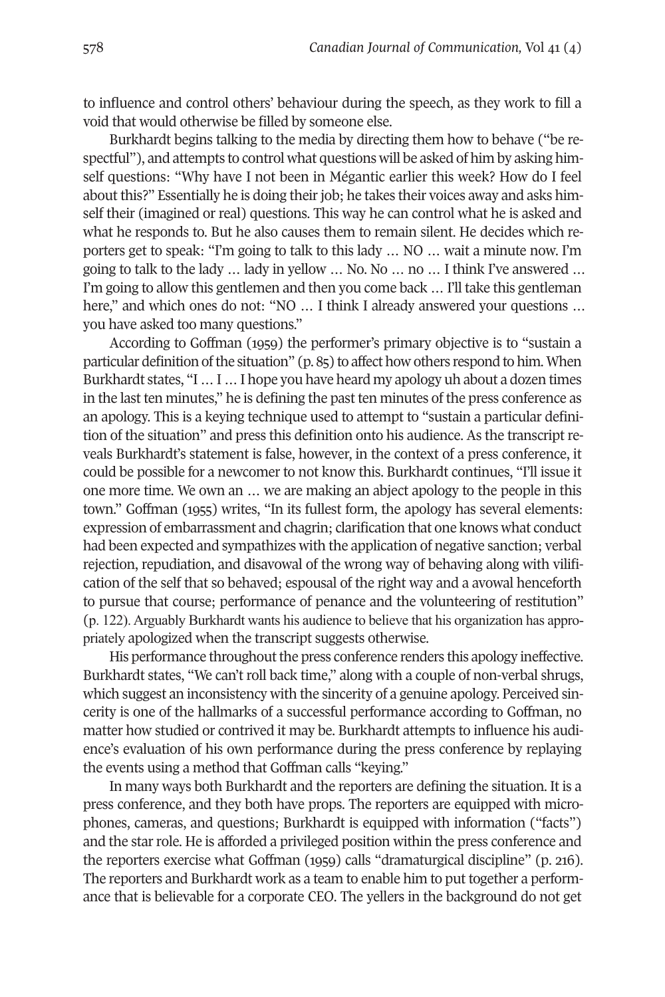to influence and control others' behaviour during the speech, as they work to fill a void that would otherwise be filled by someone else.

Burkhardt begins talking to the media by directing them how to behave ("be respectful"), and attempts to control what questions will be asked of him by asking himself questions: "Why have I not been in Mégantic earlier this week? How do I feel about this?" Essentially he is doing their job; he takes their voices away and asks himself their (imagined or real) questions. This way he can control what he is asked and what he responds to. But he also causes them to remain silent. He decides which reporters get to speak: "I'm going to talk to this lady … NO … wait a minute now. I'm going to talk to the lady … lady in yellow … No. No … no … I think I've answered … I'm going to allow this gentlemen and then you come back ... I'll take this gentleman here," and which ones do not: "NO ... I think I already answered your questions ... you have asked too many questions."

According to Goffman (1959) the performer's primary objective is to "sustain a particular definition of the situation" (p. 85) to affect how others respond to him. When Burkhardt states, "I … I … I hope you have heard my apology uh about a dozen times in the last ten minutes," he is defining the past ten minutes of the press conference as an apology. This is a keying technique used to attempt to "sustain a particular definition of the situation" and press this definition onto his audience. As the transcript reveals Burkhardt's statement is false, however, in the context of a press conference, it could be possible for a newcomer to not know this. Burkhardt continues, "I'll issue it one more time. We own an … we are making an abject apology to the people in this town." Goffman (1955) writes, "In its fullest form, the apology has several elements: expression of embarrassment and chagrin; clarification that one knows what conduct had been expected and sympathizes with the application of negative sanction; verbal rejection, repudiation, and disavowal of the wrong way of behaving along with vilification of the self that so behaved; espousal of the right way and a avowal henceforth to pursue that course; performance of penance and the volunteering of restitution" (p. 122).Arguably Burkhardt wants his audience to believe that his organization has appropriately apologized when the transcript suggests otherwise.

His performance throughout the press conference renders this apology ineffective. Burkhardt states, "We can't roll back time," along with a couple of non-verbal shrugs, which suggest an inconsistency with the sincerity of a genuine apology. Perceived sincerity is one of the hallmarks of a successful performance according to Goffman, no matter how studied or contrived it may be. Burkhardt attempts to influence his audience's evaluation of his own performance during the press conference by replaying the events using a method that Goffman calls "keying."

In many ways both Burkhardt and the reporters are defining the situation. It is a press conference, and they both have props. The reporters are equipped with microphones, cameras, and questions; Burkhardt is equipped with information ("facts") and the star role. He is afforded a privileged position within the press conference and the reporters exercise what Goffman (1959) calls "dramaturgical discipline" (p. 216). The reporters and Burkhardt work as a team to enable him to put together a performance that is believable for a corporate CEO. The yellers in the background do not get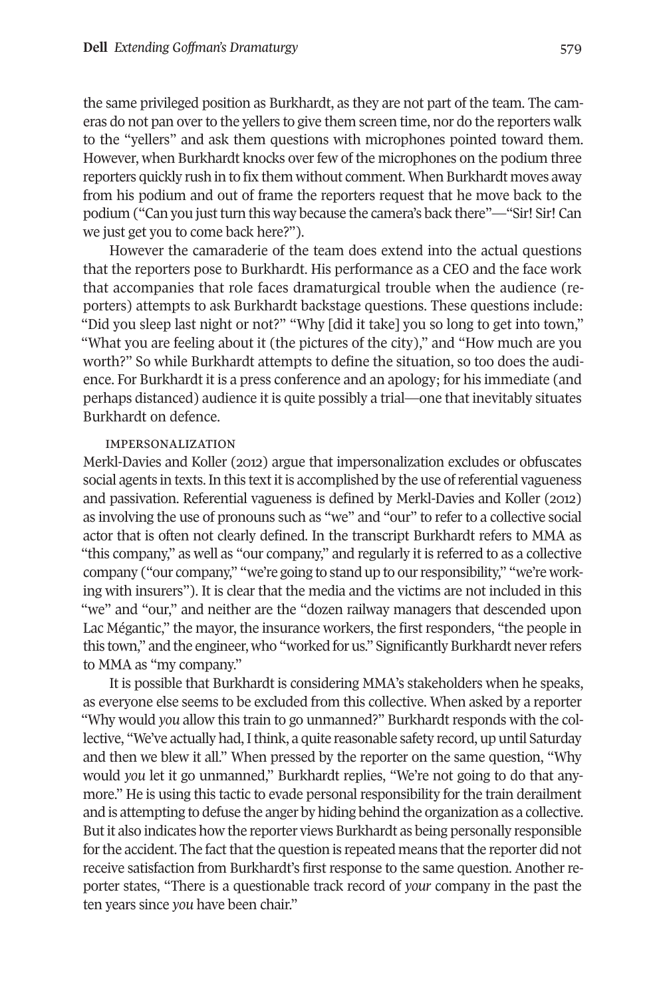the same privileged position as Burkhardt, as they are not part of the team. The cameras do not pan over to the yellers to give them screen time, nor do the reporters walk to the "yellers" and ask them questions with microphones pointed toward them. However, when Burkhardt knocks over few of the microphones on the podium three reporters quickly rush in to fix them without comment. When Burkhardt moves away from his podium and out of frame the reporters request that he move back to the podium ("Can you justturn this way because the camera's back there"—"Sir! Sir! Can we just get you to come back here?").

However the camaraderie of the team does extend into the actual questions that the reporters pose to Burkhardt. His performance as a CEO and the face work that accompanies that role faces dramaturgical trouble when the audience (reporters) attempts to ask Burkhardt backstage questions. These questions include: "Did you sleep last night or not?" "Why [did it take] you so long to get into town," "What you are feeling about it (the pictures of the city)," and "How much are you worth?" So while Burkhardt attempts to define the situation, so too does the audience. For Burkhardt it is a press conference and an apology; for his immediate (and perhaps distanced) audience it is quite possibly a trial—one that inevitably situates Burkhardt on defence.

#### impersonalization

Merkl-Davies and Koller (2012) argue that impersonalization excludes or obfuscates social agents in texts. In this text it is accomplished by the use of referential vagueness and passivation. Referential vagueness is defined by Merkl-Davies and Koller (2012) as involving the use of pronouns such as "we" and "our" to refer to a collective social actor that is often not clearly defined. In the transcript Burkhardt refers to MMA as "this company," as well as "our company," and regularly it is referred to as a collective company ("our company," "we're going to stand up to ourresponsibility," "we're working with insurers"). It is clear that the media and the victims are not included in this "we" and "our," and neither are the "dozen railway managers that descended upon Lac Mégantic," the mayor, the insurance workers, the first responders, "the people in this town," and the engineer, who "worked for us." Significantly Burkhardt neverrefers to MMA as "my company."

It is possible that Burkhardt is considering MMA's stakeholders when he speaks, as everyone else seems to be excluded from this collective. When asked by a reporter "Why would *you* allow this train to go unmanned?" Burkhardt responds with the collective, "We've actually had, I think, a quite reasonable safety record, up until Saturday and then we blew it all." When pressed by the reporter on the same question, "Why would *you* let it go unmanned," Burkhardt replies, "We're not going to do that anymore." He is using this tactic to evade personal responsibility for the train derailment and is attempting to defuse the anger by hiding behind the organization as a collective. Butit also indicates how the reporter views Burkhardt as being personally responsible for the accident. The fact that the question is repeated means that the reporter did not receive satisfaction from Burkhardt's first response to the same question. Another reporter states, "There is a questionable track record of *your* company in the past the ten years since *you* have been chair."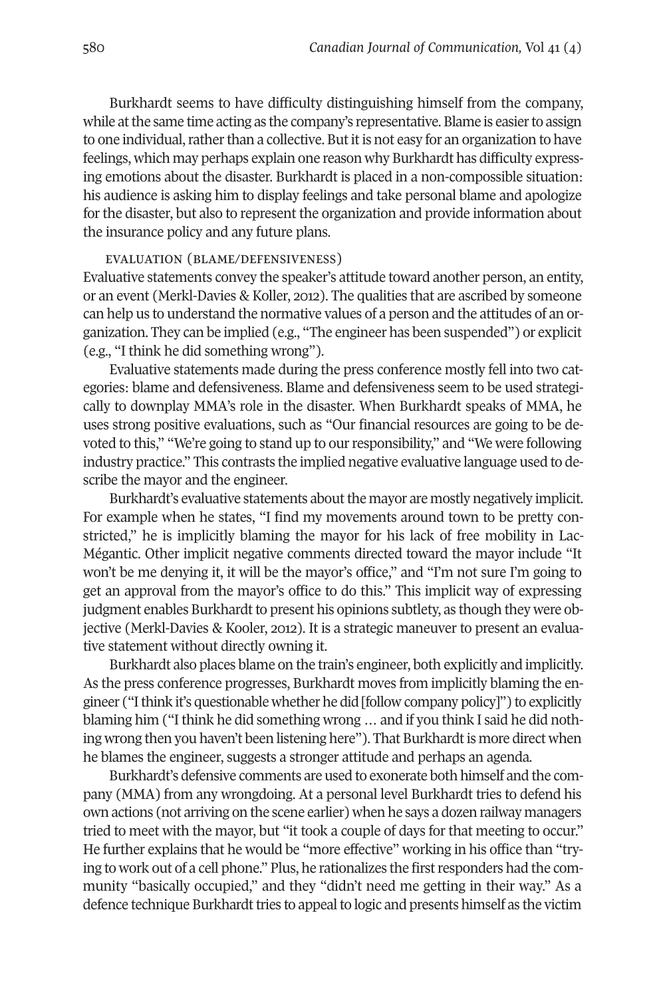Burkhardt seems to have difficulty distinguishing himself from the company, while at the same time acting as the company's representative. Blame is easier to assign to one individual, rather than a collective. But it is not easy for an organization to have feelings, which may perhaps explain one reason why Burkhardt has difficulty expressing emotions about the disaster. Burkhardt is placed in a non-compossible situation: his audience is asking him to display feelings and take personal blame and apologize forthe disaster, but also to represent the organization and provide information about the insurance policy and any future plans.

#### evaluation (blame/defensiveness)

Evaluative statements convey the speaker's attitude toward another person, an entity, or an event (Merkl-Davies & Koller, 2012). The qualities that are ascribed by someone can help us to understand the normative values of a person and the attitudes of an organization. They can be implied (e.g., "The engineer has been suspended") or explicit (e.g., "I think he did something wrong").

Evaluative statements made during the press conference mostly fell into two categories: blame and defensiveness. Blame and defensiveness seem to be used strategically to downplay MMA's role in the disaster. When Burkhardt speaks of MMA, he uses strong positive evaluations, such as "Our financial resources are going to be devoted to this," "We're going to stand up to ourresponsibility," and "We were following industry practice." This contrasts the implied negative evaluative language used to describe the mayor and the engineer.

Burkhardt's evaluative statements about the mayor are mostly negatively implicit. For example when he states, "I find my movements around town to be pretty constricted," he is implicitly blaming the mayor for his lack of free mobility in Lac-Mégantic. Other implicit negative comments directed toward the mayor include "It won't be me denying it, it will be the mayor's office," and "I'm not sure I'm going to get an approval from the mayor's office to do this." This implicit way of expressing judgment enables Burkhardt to present his opinions subtlety, as though they were objective (Merkl-Davies & Kooler, 2012). It is a strategic maneuver to present an evaluative statement without directly owning it.

Burkhardt also places blame on the train's engineer, both explicitly and implicitly. As the press conference progresses, Burkhardt moves from implicitly blaming the engineer ("Ithink it's questionable whether he did [follow company policy]") to explicitly blaming him ("I think he did something wrong … and if you think I said he did nothing wrong then you haven't been listening here"). That Burkhardtis more direct when he blames the engineer, suggests a stronger attitude and perhaps an agenda.

Burkhardt's defensive comments are used to exonerate both himself and the company (MMA) from any wrongdoing. At a personal level Burkhardt tries to defend his own actions (not arriving on the scene earlier) when he says a dozen railway managers tried to meet with the mayor, but "it took a couple of days for that meeting to occur." He further explains that he would be "more effective" working in his office than "trying to work out of a cell phone." Plus, he rationalizes the first responders had the community "basically occupied," and they "didn't need me getting in their way." As a defence technique Burkhardt tries to appeal to logic and presents himself as the victim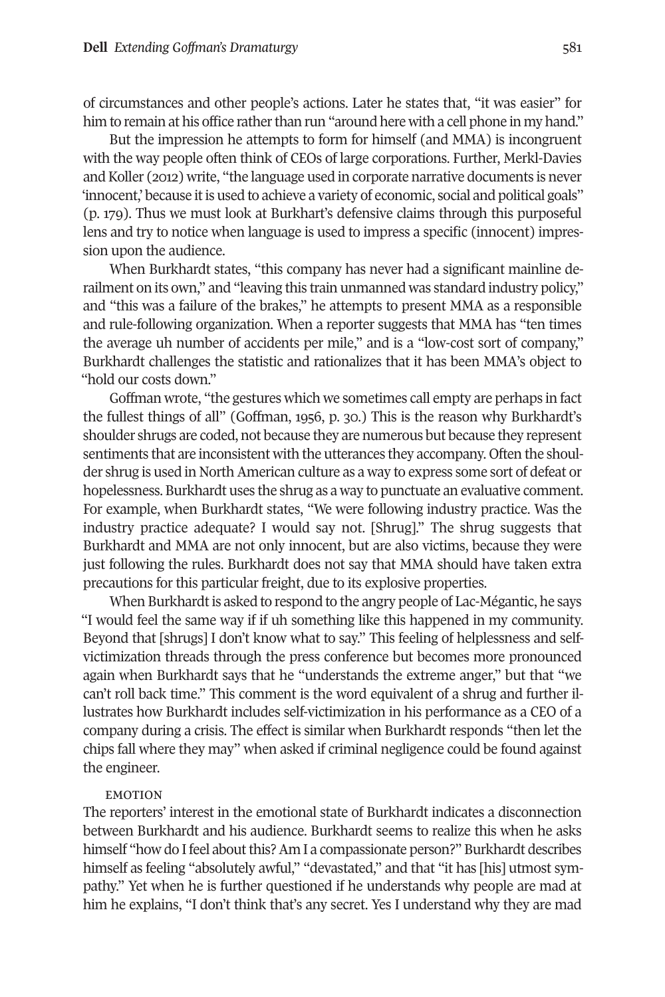of circumstances and other people's actions. Later he states that, "it was easier" for him to remain at his office rather than run "around here with a cell phone in my hand."

But the impression he attempts to form for himself (and MMA) is incongruent with the way people often think of CEOs of large corporations. Further, Merkl-Davies and Koller (2012) write, "the language used in corporate narrative documents is never 'innocent,' because it is used to achieve a variety of economic, social and political goals" (p. 179). Thus we must look at Burkhart's defensive claims through this purposeful lens and try to notice when language is used to impress a specific (innocent) impression upon the audience.

When Burkhardt states, "this company has never had a significant mainline derailment on its own," and "leaving this train unmanned was standard industry policy," and "this was a failure of the brakes," he attempts to present MMA as a responsible and rule-following organization. When a reporter suggests that MMA has "ten times the average uh number of accidents per mile," and is a "low-cost sort of company," Burkhardt challenges the statistic and rationalizes that it has been MMA's object to "hold our costs down."

Goffman wrote, "the gestures which we sometimes call empty are perhaps in fact the fullest things of all" (Goffman, 1956, p. 30.) This is the reason why Burkhardt's shoulder shrugs are coded, not because they are numerous but because they represent sentiments that are inconsistent with the utterances they accompany. Often the shoulder shrug is used in NorthAmerican culture as a way to express some sort of defeat or hopelessness. Burkhardt uses the shrug as a way to punctuate an evaluative comment. For example, when Burkhardt states, "We were following industry practice. Was the industry practice adequate? I would say not. [Shrug]." The shrug suggests that Burkhardt and MMA are not only innocent, but are also victims, because they were just following the rules. Burkhardt does not say that MMA should have taken extra precautions for this particular freight, due to its explosive properties.

When Burkhardt is asked to respond to the angry people of Lac-Mégantic, he says "I would feel the same way if if uh something like this happened in my community. Beyond that [shrugs] I don't know what to say." This feeling of helplessness and selfvictimization threads through the press conference but becomes more pronounced again when Burkhardt says that he "understands the extreme anger," but that "we can't roll back time." This comment is the word equivalent of a shrug and further illustrates how Burkhardt includes self-victimization in his performance as a CEO of a company during a crisis. The effect is similar when Burkhardt responds "then let the chips fall where they may" when asked if criminal negligence could be found against the engineer.

#### **EMOTION**

The reporters' interest in the emotional state of Burkhardt indicates a disconnection between Burkhardt and his audience. Burkhardt seems to realize this when he asks himself "how do I feel about this? Am I a compassionate person?" Burkhardt describes himself as feeling "absolutely awful," "devastated," and that "it has [his] utmost sympathy." Yet when he is further questioned if he understands why people are mad at him he explains, "I don't think that's any secret. Yes I understand why they are mad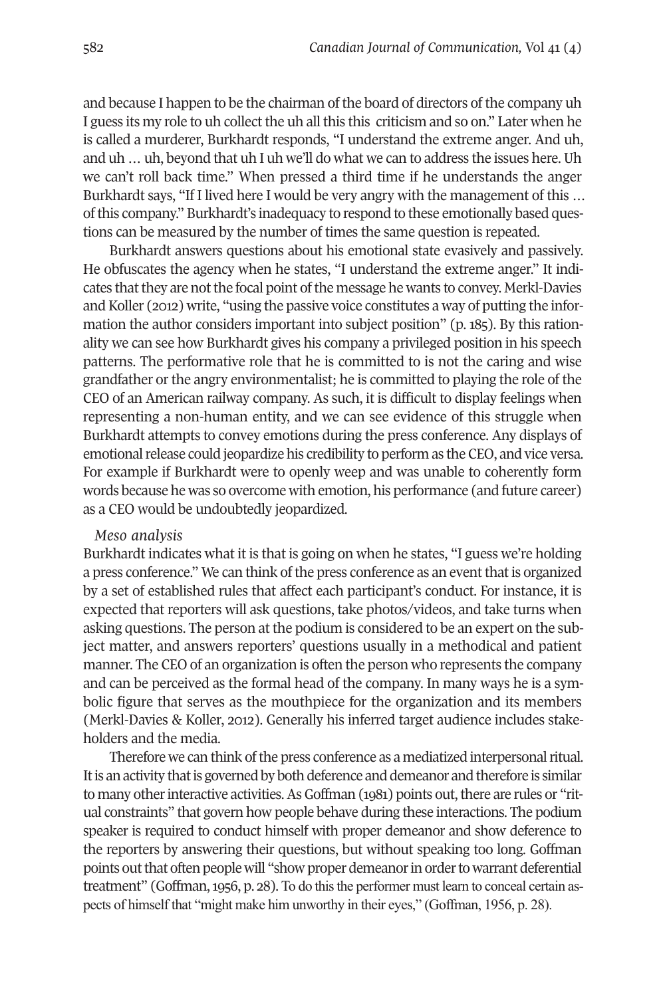and because I happen to be the chairman of the board of directors of the company uh I guess its my role to uh collect the uh all this this criticism and so on." Later when he is called a murderer, Burkhardt responds, "I understand the extreme anger. And uh, and uh … uh, beyond that uh I uh we'll do what we can to address the issues here. Uh we can't roll back time." When pressed a third time if he understands the anger Burkhardt says, "If I lived here I would be very angry with the management of this … ofthis company." Burkhardt's inadequacy to respond to these emotionally based questions can be measured by the number of times the same question is repeated.

Burkhardt answers questions about his emotional state evasively and passively. He obfuscates the agency when he states, "I understand the extreme anger." It indicates that they are not the focal point of the message he wants to convey. Merkl-Davies and Koller (2012) write, "using the passive voice constitutes a way of putting the information the author considers important into subject position" (p. 185). By this rationality we can see how Burkhardt gives his company a privileged position in his speech patterns. The performative role that he is committed to is not the caring and wise grandfather orthe angry environmentalist; he is committed to playing the role of the CEO of an American railway company. As such, it is difficult to display feelings when representing a non-human entity, and we can see evidence of this struggle when Burkhardt attempts to convey emotions during the press conference. Any displays of emotional release could jeopardize his credibility to perform as the CEO, and vice versa. For example if Burkhardt were to openly weep and was unable to coherently form words because he was so overcome with emotion, his performance (and future career) as a CEO would be undoubtedly jeopardized.

#### *Meso analysis*

Burkhardt indicates what it is that is going on when he states, "I guess we're holding a press conference." We can think of the press conference as an event that is organized by a set of established rules that affect each participant's conduct. For instance, it is expected that reporters will ask questions, take photos/videos, and take turns when asking questions. The person at the podium is considered to be an expert on the subject matter, and answers reporters' questions usually in a methodical and patient manner. The CEO of an organization is often the person who represents the company and can be perceived as the formal head of the company. In many ways he is a symbolic figure that serves as the mouthpiece for the organization and its members (Merkl-Davies & Koller, 2012). Generally his inferred target audience includes stakeholders and the media.

Therefore we can think of the press conference as a mediatized interpersonal ritual. It is an activity that is governed by both deference and demeanor and therefore is similar to many other interactive activities. As Goffman (1981) points out, there are rules or "ritual constraints" that govern how people behave during these interactions. The podium speaker is required to conduct himself with proper demeanor and show deference to the reporters by answering their questions, but without speaking too long. Goffman points out that often people will "show proper demeanor in order to warrant deferential treatment" (Goffman, 1956, p. 28). To do this the performer must learn to conceal certain aspects of himself that "might make him unworthy in their eyes," (Goffman, 1956, p. 28).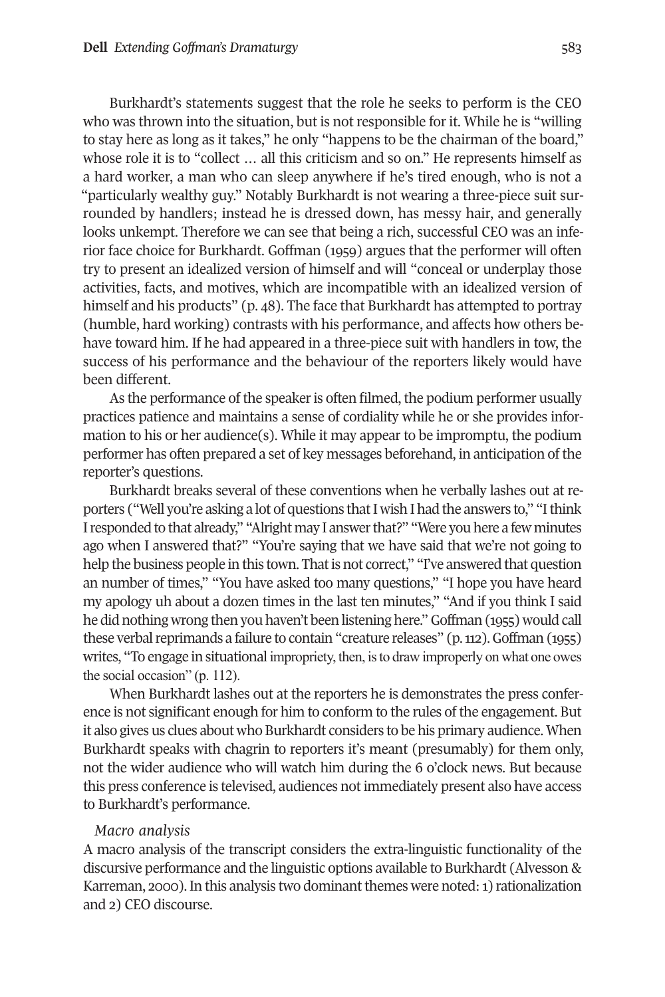Burkhardt's statements suggest that the role he seeks to perform is the CEO who was thrown into the situation, but is not responsible for it. While he is "willing to stay here as long as it takes," he only "happens to be the chairman of the board," whose role it is to "collect … all this criticism and so on." He represents himself as a hard worker, a man who can sleep anywhere if he's tired enough, who is not a "particularly wealthy guy." Notably Burkhardt is not wearing a three-piece suit surrounded by handlers; instead he is dressed down, has messy hair, and generally looks unkempt. Therefore we can see that being a rich, successful CEO was an inferior face choice for Burkhardt. Goffman (1959) argues that the performer will often try to present an idealized version of himself and will "conceal or underplay those activities, facts, and motives, which are incompatible with an idealized version of himself and his products" (p. 48). The face that Burkhardt has attempted to portray (humble, hard working) contrasts with his performance, and affects how others behave toward him. If he had appeared in a three-piece suit with handlers in tow, the success of his performance and the behaviour of the reporters likely would have been different.

As the performance of the speaker is often filmed, the podium performer usually practices patience and maintains a sense of cordiality while he or she provides information to his or her audience(s). While it may appear to be impromptu, the podium performer has often prepared a set of key messages beforehand, in anticipation of the reporter's questions.

Burkhardt breaks several of these conventions when he verbally lashes out at reporters ("Well you're asking a lot of questions that I wish I had the answers to," "I think Iresponded to that already," "Alright may I answerthat?" "Were you here a few minutes ago when I answered that?" "You're saying that we have said that we're not going to help the business people in this town. That is not correct," "I've answered that question an number of times," "You have asked too many questions," "I hope you have heard my apology uh about a dozen times in the last ten minutes," "And if you think I said he did nothing wrong then you haven't been listening here."Goffman (1955) would call these verbal reprimands a failure to contain "creature releases" (p. 112). Goffman (1955) writes, "To engage in situational impropriety, then, isto draw improperly on what one owes the social occasion" (p. 112).

When Burkhardt lashes out at the reporters he is demonstrates the press conference is not significant enough for him to conform to the rules of the engagement. But it also gives us clues about who Burkhardt considers to be his primary audience. When Burkhardt speaks with chagrin to reporters it's meant (presumably) for them only, not the wider audience who will watch him during the 6 o'clock news. But because this press conference is televised, audiences not immediately present also have access to Burkhardt's performance.

#### *Macro analysis*

A macro analysis of the transcript considers the extra-linguistic functionality of the discursive performance and the linguistic options available to Burkhardt (Alvesson & Karreman, 2000). In this analysis two dominant themes were noted:  $1$ ) rationalization and 2) CEO discourse.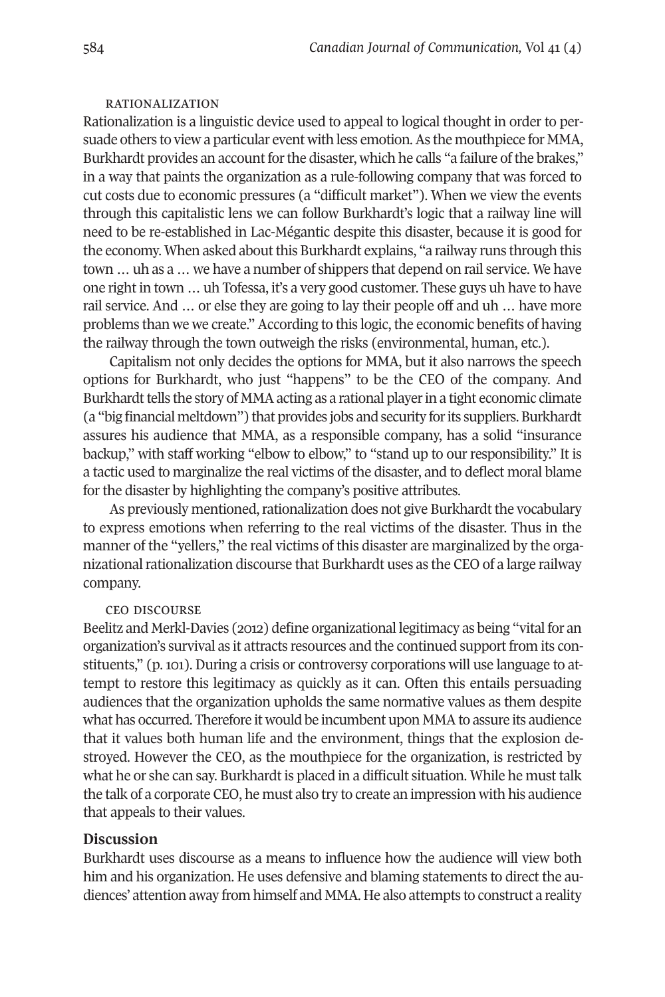#### rationalization

Rationalization is a linguistic device used to appeal to logical thought in order to persuade others to view a particular event with less emotion.As the mouthpiece for MMA, Burkhardt provides an account for the disaster, which he calls "a failure of the brakes," in a way that paints the organization as a rule-following company that was forced to cut costs due to economic pressures (a "difficult market"). When we view the events through this capitalistic lens we can follow Burkhardt's logic that a railway line will need to be re-established in Lac-Mégantic despite this disaster, because it is good for the economy. When asked about this Burkhardt explains, "a railway runs through this town … uh as a … we have a number of shippers that depend on rail service. We have one rightin town … uh Tofessa, it's a very good customer. These guys uh have to have rail service. And … or else they are going to lay their people off and uh … have more problems than we we create." According to this logic, the economic benefits of having the railway through the town outweigh the risks (environmental, human, etc.).

Capitalism not only decides the options for MMA, but it also narrows the speech options for Burkhardt, who just "happens" to be the CEO of the company. And Burkhardt tells the story of MMA acting as a rational player in a tight economic climate (a "big financial meltdown") that provides jobs and security forits suppliers.Burkhardt assures his audience that MMA, as a responsible company, has a solid "insurance backup," with staff working "elbow to elbow," to "stand up to our responsibility." It is a tactic used to marginalize the real victims of the disaster, and to deflect moral blame for the disaster by highlighting the company's positive attributes.

As previously mentioned, rationalization does not give Burkhardt the vocabulary to express emotions when referring to the real victims of the disaster. Thus in the manner of the "yellers," the real victims of this disaster are marginalized by the organizationalrationalization discourse that Burkhardt uses as the CEO of a large railway company.

#### ceo discourse

Beelitz and Merkl-Davies (2012) define organizational legitimacy as being "vital for an organization's survival as it attracts resources and the continued support from its constituents," (p. 101). During a crisis or controversy corporations will use language to attempt to restore this legitimacy as quickly as it can. Often this entails persuading audiences that the organization upholds the same normative values as them despite what has occurred. Therefore it would be incumbent upon MMA to assure its audience that it values both human life and the environment, things that the explosion destroyed. However the CEO, as the mouthpiece for the organization, is restricted by what he or she can say. Burkhardt is placed in a difficult situation. While he must talk the talk of a corporate CEO, he must also try to create an impression with his audience that appeals to their values.

#### **Discussion**

Burkhardt uses discourse as a means to influence how the audience will view both him and his organization. He uses defensive and blaming statements to direct the audiences' attention away from himself and MMA. He also attempts to construct a reality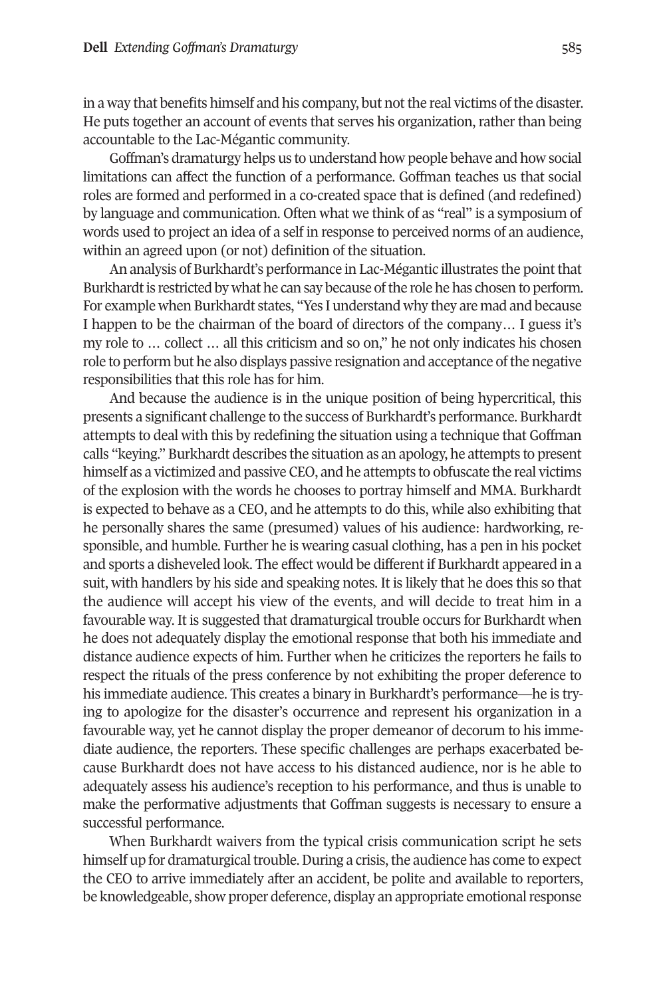in a way that benefits himself and his company, but not the real victims of the disaster. He puts together an account of events that serves his organization, rather than being accountable to the Lac-Mégantic community.

Goffman's dramaturgy helps us to understand how people behave and how social limitations can affect the function of a performance. Goffman teaches us that social roles are formed and performed in a co-created space that is defined (and redefined) by language and communication. Often what we think of as "real" is a symposium of words used to project an idea of a self in response to perceived norms of an audience, within an agreed upon (or not) definition of the situation.

An analysis of Burkhardt's performance in Lac-Mégantic illustrates the point that Burkhardt is restricted by what he can say because of the role he has chosen to perform. For example when Burkhardt states, "Yes I understand why they are mad and because I happen to be the chairman of the board of directors of the company… I guess it's my role to … collect … all this criticism and so on," he not only indicates his chosen role to perform but he also displays passive resignation and acceptance ofthe negative responsibilities that this role has for him.

And because the audience is in the unique position of being hypercritical, this presents a significant challenge to the success of Burkhardt's performance. Burkhardt attempts to deal with this by redefining the situation using a technique that Goffman calls "keying." Burkhardt describes the situation as an apology, he attempts to present himself as a victimized and passive CEO, and he attempts to obfuscate the real victims of the explosion with the words he chooses to portray himself and MMA. Burkhardt is expected to behave as a CEO, and he attempts to do this, while also exhibiting that he personally shares the same (presumed) values of his audience: hardworking, responsible, and humble. Further he is wearing casual clothing, has a pen in his pocket and sports a disheveled look. The effect would be different if Burkhardt appeared in a suit, with handlers by his side and speaking notes. It is likely that he does this so that the audience will accept his view of the events, and will decide to treat him in a favourable way. It is suggested that dramaturgical trouble occurs for Burkhardt when he does not adequately display the emotional response that both his immediate and distance audience expects of him. Further when he criticizes the reporters he fails to respect the rituals of the press conference by not exhibiting the proper deference to his immediate audience. This creates a binary in Burkhardt's performance—he is trying to apologize for the disaster's occurrence and represent his organization in a favourable way, yet he cannot display the proper demeanor of decorum to his immediate audience, the reporters. These specific challenges are perhaps exacerbated because Burkhardt does not have access to his distanced audience, nor is he able to adequately assess his audience's reception to his performance, and thus is unable to make the performative adjustments that Goffman suggests is necessary to ensure a successful performance.

When Burkhardt waivers from the typical crisis communication script he sets himself up for dramaturgical trouble. During a crisis, the audience has come to expect the CEO to arrive immediately after an accident, be polite and available to reporters, be knowledgeable, show proper deference, display an appropriate emotional response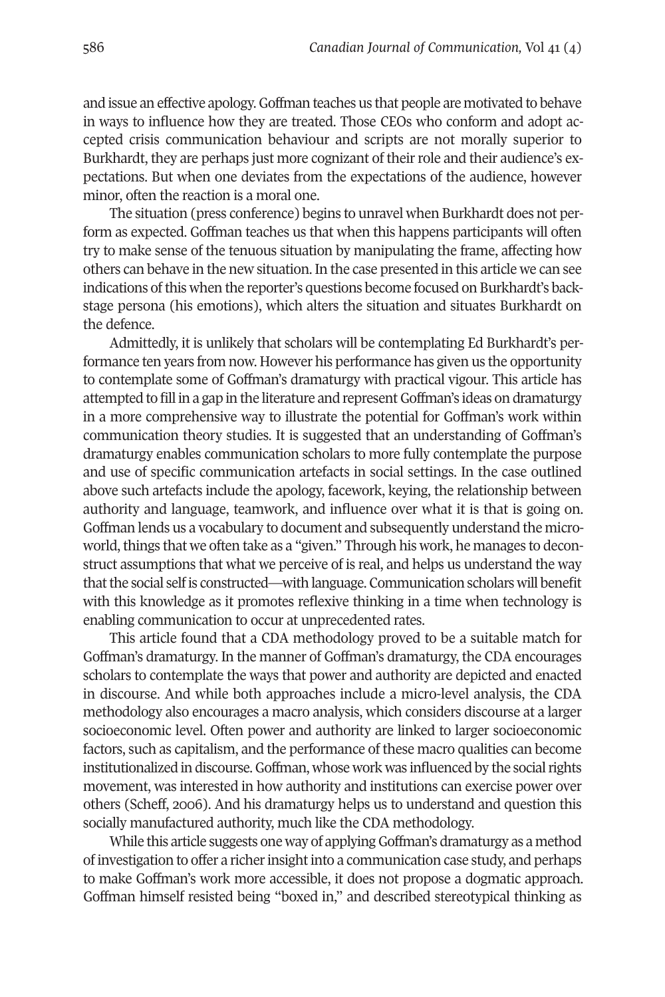and issue an effective apology.Goffman teaches us that people are motivated to behave in ways to influence how they are treated. Those CEOs who conform and adopt accepted crisis communication behaviour and scripts are not morally superior to Burkhardt, they are perhaps just more cognizant of their role and their audience's expectations. But when one deviates from the expectations of the audience, however minor, often the reaction is a moral one.

The situation (press conference) begins to unravel when Burkhardt does not perform as expected. Goffman teaches us that when this happens participants will often try to make sense of the tenuous situation by manipulating the frame, affecting how others can behave in the new situation. In the case presented in this article we can see indications ofthis when the reporter's questions become focused on Burkhardt's backstage persona (his emotions), which alters the situation and situates Burkhardt on the defence.

Admittedly, it is unlikely that scholars will be contemplating Ed Burkhardt's performance ten years from now. However his performance has given us the opportunity to contemplate some of Goffman's dramaturgy with practical vigour. This article has attempted to fill in a gap in the literature and representGoffman's ideas on dramaturgy in a more comprehensive way to illustrate the potential for Goffman's work within communication theory studies. It is suggested that an understanding of Goffman's dramaturgy enables communication scholars to more fully contemplate the purpose and use of specific communication artefacts in social settings. In the case outlined above such artefacts include the apology, facework, keying, the relationship between authority and language, teamwork, and influence over what it is that is going on. Goffman lends us a vocabulary to document and subsequently understand the microworld, things that we often take as a "given." Through his work, he manages to deconstruct assumptions that what we perceive of is real, and helps us understand the way thatthe social selfis constructed—with language. Communication scholars will benefit with this knowledge as it promotes reflexive thinking in a time when technology is enabling communication to occur at unprecedented rates.

This article found that a CDA methodology proved to be a suitable match for Goffman's dramaturgy. In the manner of Goffman's dramaturgy, the CDA encourages scholars to contemplate the ways that power and authority are depicted and enacted in discourse. And while both approaches include a micro-level analysis, the CDA methodology also encourages a macro analysis, which considers discourse at a larger socioeconomic level. Often power and authority are linked to larger socioeconomic factors, such as capitalism, and the performance of these macro qualities can become institutionalized in discourse. Goffman, whose work was influenced by the social rights movement, was interested in how authority and institutions can exercise power over others (Scheff, 2006). And his dramaturgy helps us to understand and question this socially manufactured authority, much like the CDA methodology.

While this article suggests one way of applying Goffman's dramaturgy as a method of investigation to offer a richerinsightinto a communication case study, and perhaps to make Goffman's work more accessible, it does not propose a dogmatic approach. Goffman himself resisted being "boxed in," and described stereotypical thinking as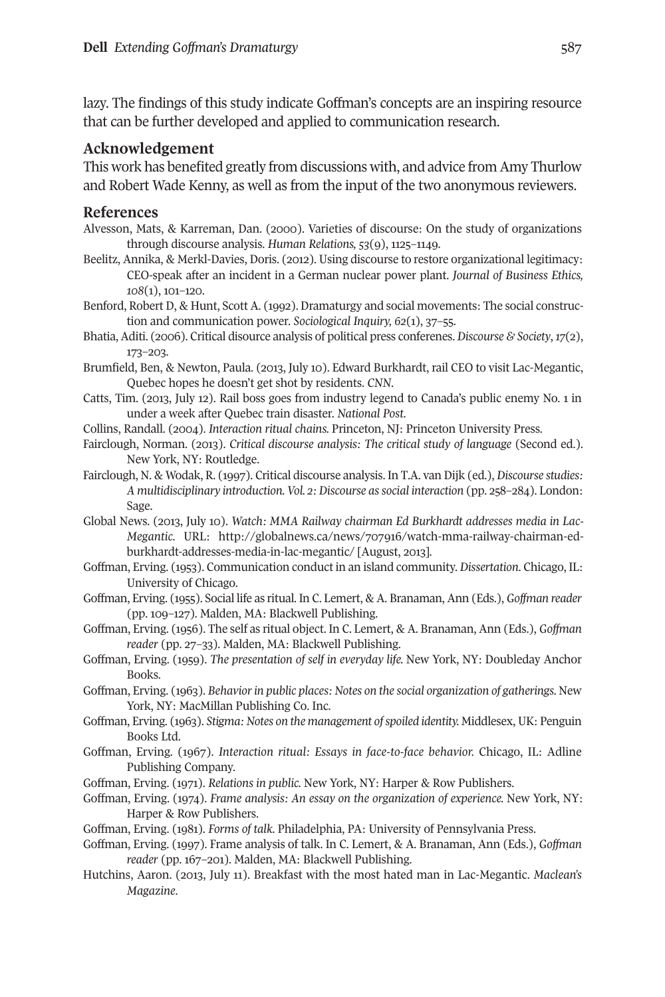lazy. The findings of this study indicate Goffman's concepts are an inspiring resource that can be further developed and applied to communication research.

## **Acknowledgement**

This work has benefited greatly from discussions with, and advice from Amy Thurlow and Robert Wade Kenny, as well as from the input of the two anonymous reviewers.

### **References**

- Alvesson, Mats, & Karreman, Dan. (2000). Varieties of discourse: On the study of organizations through discourse analysis. *Human Relations, 53*(9), 1125–1149.
- Beelitz, Annika, & Merkl-Davies, Doris. (2012). Using discourse to restore organizational legitimacy: CEO-speak after an incident in a German nuclear power plant. *Journal of Business Ethics, 108*(1), 101–120.
- Benford, Robert D, & Hunt, Scott A. (1992). Dramaturgy and social movements: The social construction and communication power. *Sociological Inquiry, 62*(1), 37–55.
- Bhatia, Aditi. (2006). Critical disource analysis of political press conferenes. *Discourse & Society*,*17*(2), 173–203.
- Brumfield, Ben, & Newton, Paula. (2013, July 10). Edward Burkhardt, rail CEO to visit Lac-Megantic, Quebec hopes he doesn't get shot by residents. *CNN*.
- Catts, Tim. (2013, July 12). Rail boss goes from industry legend to Canada's public enemy No. 1 in under a week after Quebec train disaster. *National Post*.
- Collins, Randall. (2004). *Interaction ritual chains.* Princeton, NJ: Princeton University Press.
- Fairclough, Norman. (2013). *Critical discourse analysis: The critical study of language* (Second ed.). New York, NY: Routledge.
- Fairclough, N. & Wodak, R. (1997). Critical discourse analysis. In T.A. van Dijk (ed.), *Discourse studies: A multidisciplinary introduction. Vol. 2: Discourse associal interaction* (pp. 258–284). London: Sage.
- Global News. (2013, July 10). *Watch: MMA Railway chairman Ed Burkhardt addresses media in Lac-Megantic.* URL: [http://globalnews.ca/news/707916/watch-mma-railway-chairman-ed](http://globalnews.ca/news/707916/watch-mma-railway-chairman-ed-burkhardt-addresses-media-in-lac-megantic)[burkhardt-addresses-media-in-lac-megantic/](http://globalnews.ca/news/707916/watch-mma-railway-chairman-ed-burkhardt-addresses-media-in-lac-megantic) [August, 2013].
- Goffman, Erving. (1953). Communication conduct in an island community. *Dissertation*. Chicago, IL: University of Chicago.
- Goffman, Erving. (1955). Social life as ritual. In C. Lemert, & A. Branaman, Ann (Eds.), *Goffman reader* (pp. 109–127)*.* Malden, MA: Blackwell Publishing.
- Goffman, Erving. (1956). The self as ritual object. In C. Lemert, & A. Branaman, Ann (Eds.), *Goffman reader* (pp. 27–33)*.* Malden, MA: Blackwell Publishing.
- Goffman, Erving. (1959). *The presentation of self in everyday life.* New York, NY: Doubleday Anchor Books.
- Goffman, Erving. (1963). *Behaviorin public places: Notes on the social organization of gatherings.* New York, NY: MacMillan Publishing Co. Inc.
- Goffman, Erving. (1963). *Stigma: Notes on the management ofspoiled identity.* Middlesex, UK: Penguin Books Ltd.
- Goffman, Erving. (1967). *Interaction ritual: Essays in face-to-face behavior.* Chicago, IL: Adline Publishing Company.
- Goffman, Erving. (1971). *Relations in public.* New York, NY: Harper & Row Publishers.
- Goffman, Erving. (1974). *Frame analysis: An essay on the organization of experience.* New York, NY: Harper & Row Publishers.
- Goffman, Erving. (1981). *Forms of talk.* Philadelphia, PA: University of Pennsylvania Press.
- Goffman, Erving. (1997). Frame analysis of talk. In C. Lemert, & A. Branaman, Ann (Eds.), *Goffman reader* (pp. 167–201)*.* Malden, MA: Blackwell Publishing.
- Hutchins, Aaron. (2013, July 11). Breakfast with the most hated man in Lac-Megantic. *Maclean's Magazine*.